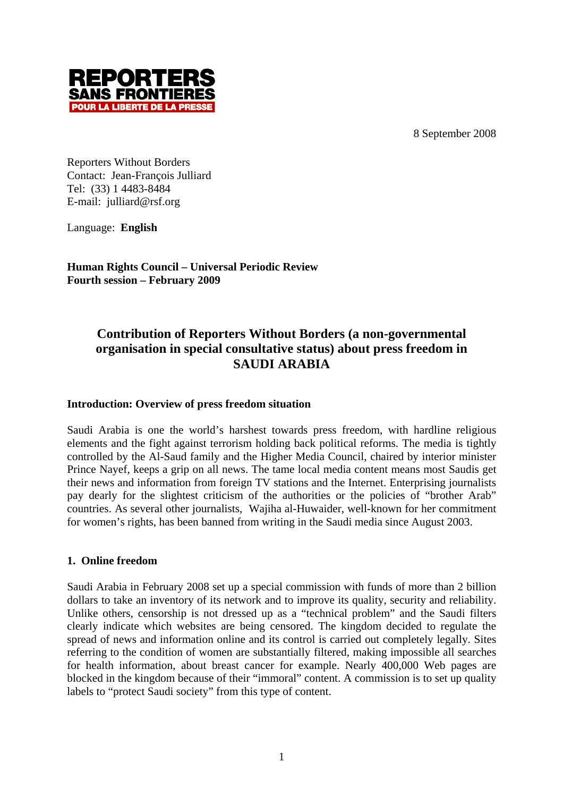8 September 2008



Reporters Without Borders Contact: Jean-François Julliard Tel: (33) 1 4483-8484 E-mail: julliard@rsf.org

Language: **English**

**Human Rights Council – Universal Periodic Review Fourth session – February 2009**

# **Contribution of Reporters Without Borders (a non-governmental organisation in special consultative status) about press freedom in SAUDI ARABIA**

## **Introduction: Overview of press freedom situation**

Saudi Arabia is one the world's harshest towards press freedom, with hardline religious elements and the fight against terrorism holding back political reforms. The media is tightly controlled by the Al-Saud family and the Higher Media Council, chaired by interior minister Prince Nayef, keeps a grip on all news. The tame local media content means most Saudis get their news and information from foreign TV stations and the Internet. Enterprising journalists pay dearly for the slightest criticism of the authorities or the policies of "brother Arab" countries. As several other journalists, Wajiha al-Huwaider, well-known for her commitment for women's rights, has been banned from writing in the Saudi media since August 2003.

#### **1. Online freedom**

Saudi Arabia in February 2008 set up a special commission with funds of more than 2 billion dollars to take an inventory of its network and to improve its quality, security and reliability. Unlike others, censorship is not dressed up as a "technical problem" and the Saudi filters clearly indicate which websites are being censored. The kingdom decided to regulate the spread of news and information online and its control is carried out completely legally. Sites referring to the condition of women are substantially filtered, making impossible all searches for health information, about breast cancer for example. Nearly 400,000 Web pages are blocked in the kingdom because of their "immoral" content. A commission is to set up quality labels to "protect Saudi society" from this type of content.